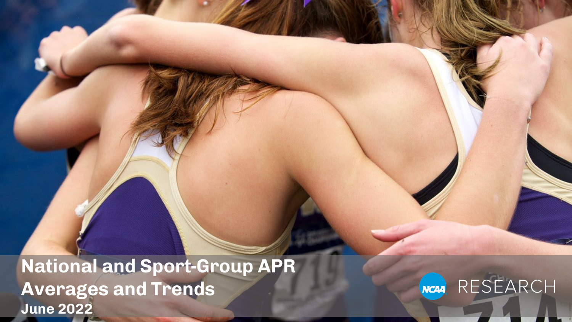**National and Sport-Group APR Averages and Trends June 2022**

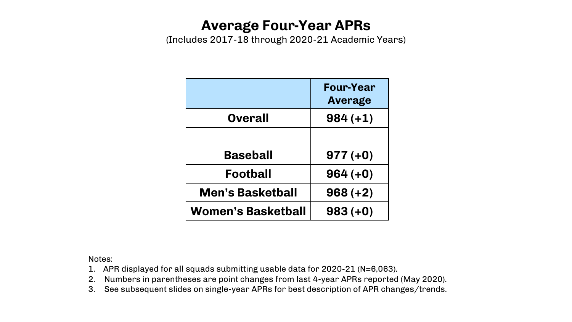### **Average Four-Year APRs**

(Includes 2017-18 through 2020-21 Academic Years)

|                         | <b>Four-Year</b><br>Average |
|-------------------------|-----------------------------|
| <b>Overall</b>          | $984 (+1)$                  |
|                         |                             |
| <b>Baseball</b>         | $977 (+0)$                  |
| Football                | $964 (+0)$                  |
| <b>Men's Basketball</b> | $968 (+2)$                  |
| Women's Basketball      | $983 (+0)$                  |

- 1. APR displayed for all squads submitting usable data for 2020-21 (N=6,063).
- 2. Numbers in parentheses are point changes from last 4-year APRs reported (May 2020).
- 3. See subsequent slides on single-year APRs for best description of APR changes/trends.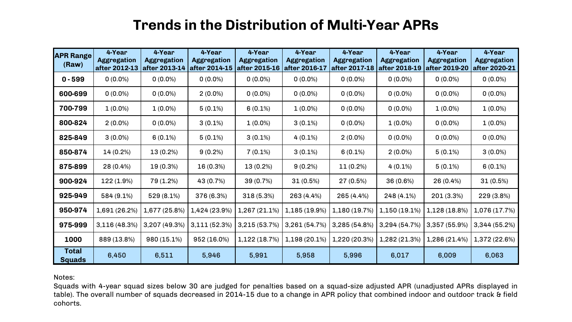### **Trends in the Distribution of Multi-Year APRs**

| <b>APR Range</b><br>(Raw)     | 4-Year<br><b>Aggregation</b><br>after 2012-13 | 4-Year<br><b>Aggregation</b><br>after 2013-14 | 4-Year<br><b>Aggregation</b><br>after 2014-15 | 4-Year<br><b>Aggregation</b><br>after 2015-16 | 4-Year<br><b>Aggregation</b><br>after 2016-17 | 4-Year<br><b>Aggregation</b><br>after 2017-18 | 4-Year<br><b>Aggregation</b><br>after 2018-19 | 4-Year<br><b>Aggregation</b><br>after 2019-20 | 4-Year<br><b>Aggregation</b><br>after 2020-21 |
|-------------------------------|-----------------------------------------------|-----------------------------------------------|-----------------------------------------------|-----------------------------------------------|-----------------------------------------------|-----------------------------------------------|-----------------------------------------------|-----------------------------------------------|-----------------------------------------------|
| $0 - 599$                     | $0(0.0\%)$                                    | $0(0.0\%)$                                    | $0(0.0\%)$                                    | $0(0.0\%)$                                    | $0(0.0\%)$                                    | $0(0.0\%)$                                    | $0(0.0\%)$                                    | $0(0.0\%)$                                    | $0(0.0\%)$                                    |
| 600-699                       | $0(0.0\%)$                                    | $0(0.0\%)$                                    | $2(0.0\%)$                                    | $0(0.0\%)$                                    | $0(0.0\%)$                                    | $0(0.0\%)$                                    | $0(0.0\%)$                                    | $0(0.0\%)$                                    | $0(0.0\%)$                                    |
| 700-799                       | $1(0.0\%)$                                    | $1(0.0\%)$                                    | $5(0.1\%)$                                    | $6(0.1\%)$                                    | $1(0.0\%)$                                    | $0(0.0\%)$                                    | $0(0.0\%)$                                    | $1(0.0\%)$                                    | $1(0.0\%)$                                    |
| 800-824                       | $2(0.0\%)$                                    | $0(0.0\%)$                                    | $3(0.1\%)$                                    | $1(0.0\%)$                                    | $3(0.1\%)$                                    | $0(0.0\%)$                                    | $1(0.0\%)$                                    | $0(0.0\%)$                                    | $1(0.0\%)$                                    |
| 825-849                       | $3(0.0\%)$                                    | $6(0.1\%)$                                    | $5(0.1\%)$                                    | $3(0.1\%)$                                    | $4(0.1\%)$                                    | $2(0.0\%)$                                    | $0(0.0\%)$                                    | $0(0.0\%)$                                    | $0(0.0\%)$                                    |
| 850-874                       | 14 (0.2%)                                     | 13 (0.2%)                                     | $9(0.2\%)$                                    | $7(0.1\%)$                                    | $3(0.1\%)$                                    | $6(0.1\%)$                                    | $2(0.0\%)$                                    | $5(0.1\%)$                                    | $3(0.0\%)$                                    |
| 875-899                       | 28 (0.4%)                                     | 19 (0.3%)                                     | 16 (0.3%)                                     | $13(0.2\%)$                                   | $9(0.2\%)$                                    | $11(0.2\%)$                                   | $4(0.1\%)$                                    | $5(0.1\%)$                                    | $6(0.1\%)$                                    |
| 900-924                       | 122 (1.9%)                                    | 79 (1.2%)                                     | 43 (0.7%)                                     | 39 (0.7%)                                     | 31(0.5%)                                      | 27 (0.5%)                                     | 36 (0.6%)                                     | 26 (0.4%)                                     | $31(0.5\%)$                                   |
| 925-949                       | 584 (9.1%)                                    | $529(8.1\%)$                                  | 376 (6.3%)                                    | 318(5.3%)                                     | 263 (4.4%)                                    | 265 (4.4%)                                    | 248 (4.1%)                                    | 201 (3.3%)                                    | 229 (3.8%)                                    |
| 950-974                       | 1,691 (26.2%)                                 | 1,677 (25.8%)                                 | 1,424 (23.9%)                                 | 1,267 (21.1%)                                 | 1,185 (19.9%)                                 | 1,180 (19.7%)                                 | 1,150 (19.1%)                                 | 1,128 (18.8%)                                 | 1,076 (17.7%)                                 |
| 975-999                       | 3,116(48.3%)                                  | 3,207 (49.3%)                                 | 3,111(52.3%)                                  | 3,215 (53.7%)                                 | 3,261 (54.7%)                                 | 3,285(54.8%)                                  | 3,294 (54.7%)                                 | 3,357 (55.9%)                                 | 3,344 (55.2%)                                 |
| 1000                          | 889 (13.8%)                                   | 980 (15.1%)                                   | 952 (16.0%)                                   | 1,122 (18.7%)                                 | 1,198 (20.1%)                                 | 1,220 (20.3%)                                 | 1,282 (21.3%)                                 | 1,286 (21.4%)                                 | 1,372 (22.6%)                                 |
| <b>Total</b><br><b>Squads</b> | 6,450                                         | 6,511                                         | 5,946                                         | 5,991                                         | 5,958                                         | 5,996                                         | 6,017                                         | 6,009                                         | 6,063                                         |

Notes:

Squads with 4-year squad sizes below 30 are judged for penalties based on a squad-size adjusted APR (unadjusted APRs displayed in table). The overall number of squads decreased in 2014-15 due to a change in APR policy that combined indoor and outdoor track & field cohorts.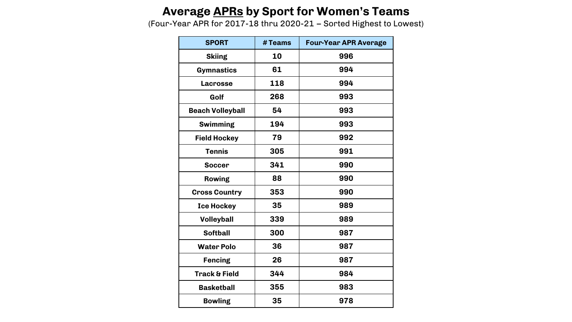### **Average APRs by Sport for Women's Teams**

(Four-Year APR for 2017-18 thru 2020-21 – Sorted Highest to Lowest)

| <b>SPORT</b>             | # Teams | <b>Four-Year APR Average</b> |  |  |  |
|--------------------------|---------|------------------------------|--|--|--|
| <b>Skiing</b>            | 10      | 996                          |  |  |  |
| <b>Gymnastics</b>        | 61      | 994                          |  |  |  |
| <b>Lacrosse</b>          | 118     | 994                          |  |  |  |
| Golf                     | 268     | 993                          |  |  |  |
| <b>Beach Volleyball</b>  | 54      | 993                          |  |  |  |
| <b>Swimming</b>          | 194     | 993                          |  |  |  |
| <b>Field Hockey</b>      | 79      | 992                          |  |  |  |
| <b>Tennis</b>            | 305     | 991                          |  |  |  |
| <b>Soccer</b>            | 341     | 990                          |  |  |  |
| <b>Rowing</b>            | 88      | 990                          |  |  |  |
| <b>Cross Country</b>     | 353     | 990                          |  |  |  |
| <b>Ice Hockey</b>        | 35      | 989                          |  |  |  |
| <b>Volleyball</b>        | 339     | 989                          |  |  |  |
| <b>Softball</b>          | 300     | 987                          |  |  |  |
| <b>Water Polo</b>        | 36      | 987                          |  |  |  |
| <b>Fencing</b>           | 26      | 987                          |  |  |  |
| <b>Track &amp; Field</b> | 344     | 984                          |  |  |  |
| <b>Basketball</b>        | 355     | 983                          |  |  |  |
| <b>Bowling</b>           | 35      | 978                          |  |  |  |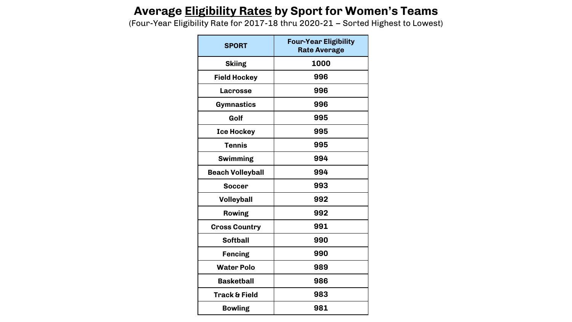### **Average Eligibility Rates by Sport for Women's Teams**

(Four-Year Eligibility Rate for 2017-18 thru 2020-21 – Sorted Highest to Lowest)

| <b>SPORT</b>             | <b>Four-Year Eligibility</b><br><b>Rate Average</b> |
|--------------------------|-----------------------------------------------------|
| <b>Skiing</b>            | 1000                                                |
| <b>Field Hockey</b>      | 996                                                 |
| Lacrosse                 | 996                                                 |
| Gymnastics               | 996                                                 |
| Golf                     | 995                                                 |
| <b>Ice Hockey</b>        | 995                                                 |
| <b>Tennis</b>            | 995                                                 |
| <b>Swimming</b>          | 994                                                 |
| <b>Beach Volleyball</b>  | 994                                                 |
| <b>Soccer</b>            | 993                                                 |
| <b>Volleyball</b>        | 992                                                 |
| <b>Rowing</b>            | 992                                                 |
| <b>Cross Country</b>     | 991                                                 |
| <b>Softball</b>          | 990                                                 |
| <b>Fencing</b>           | 990                                                 |
| <b>Water Polo</b>        | 989                                                 |
| <b>Basketball</b>        | 986                                                 |
| <b>Track &amp; Field</b> | 983                                                 |
| <b>Bowling</b>           | 981                                                 |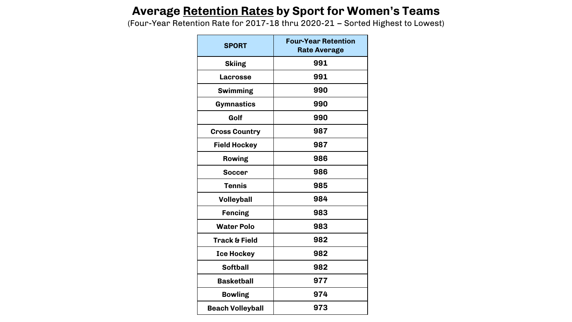### **Average Retention Rates by Sport for Women's Teams**

(Four-Year Retention Rate for 2017-18 thru 2020-21 – Sorted Highest to Lowest)

| <b>SPORT</b>             | <b>Four-Year Retention</b><br><b>Rate Average</b> |
|--------------------------|---------------------------------------------------|
| <b>Skiing</b>            | 991                                               |
| <b>Lacrosse</b>          | 991                                               |
| <b>Swimming</b>          | 990                                               |
| <b>Gymnastics</b>        | 990                                               |
| Golf                     | 990                                               |
| <b>Cross Country</b>     | 987                                               |
| <b>Field Hockey</b>      | 987                                               |
| <b>Rowing</b>            | 986                                               |
| <b>Soccer</b>            | 986                                               |
| <b>Tennis</b>            | 985                                               |
| <b>Volleyball</b>        | 984                                               |
| <b>Fencing</b>           | 983                                               |
| <b>Water Polo</b>        | 983                                               |
| <b>Track &amp; Field</b> | 982                                               |
| <b>Ice Hockey</b>        | 982                                               |
| <b>Softball</b>          | 982                                               |
| <b>Basketball</b>        | 977                                               |
| <b>Bowling</b>           | 974                                               |
| <b>Beach Volleyball</b>  | 973                                               |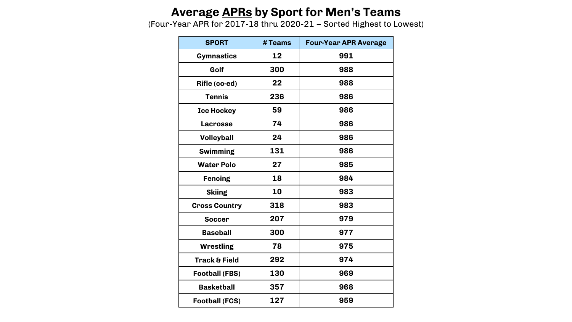### **Average APRs by Sport for Men's Teams**

(Four-Year APR for 2017-18 thru 2020-21 – Sorted Highest to Lowest)

| <b>SPORT</b>             | # Teams | <b>Four-Year APR Average</b> |  |  |
|--------------------------|---------|------------------------------|--|--|
| <b>Gymnastics</b>        | 12      | 991                          |  |  |
| Golf                     | 300     | 988                          |  |  |
| Rifle (co-ed)            | 22      | 988                          |  |  |
| <b>Tennis</b>            | 236     | 986                          |  |  |
| <b>Ice Hockey</b>        | 59      | 986                          |  |  |
| <b>Lacrosse</b>          | 74      | 986                          |  |  |
| <b>Volleyball</b>        | 24      | 986                          |  |  |
| <b>Swimming</b>          | 131     | 986                          |  |  |
| <b>Water Polo</b>        | 27      | 985                          |  |  |
| <b>Fencing</b>           | 18      | 984                          |  |  |
| <b>Skiing</b>            | 10      | 983                          |  |  |
| <b>Cross Country</b>     | 318     | 983                          |  |  |
| <b>Soccer</b>            | 207     | 979                          |  |  |
| <b>Baseball</b>          | 300     | 977                          |  |  |
| <b>Wrestling</b>         | 78      | 975                          |  |  |
| <b>Track &amp; Field</b> | 292     | 974                          |  |  |
| <b>Football (FBS)</b>    | 130     | 969                          |  |  |
| <b>Basketball</b>        | 357     | 968                          |  |  |
| <b>Football (FCS)</b>    | 127     | 959                          |  |  |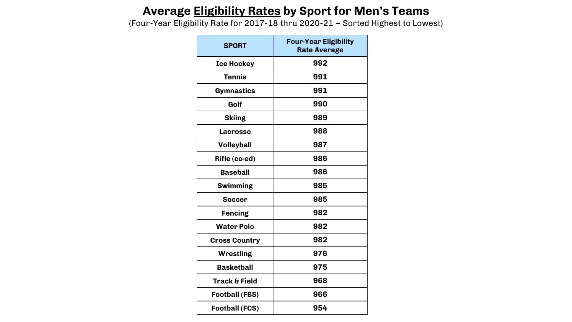### **Average Eligibility Rates by Sport for Men's Teams**

(Four-Year Eligibility Rate for 2017-18 thru 2020-21 – Sorted Highest to Lowest)

| <b>SPORT</b>             | <b>Four-Year Eligibility</b><br><b>Rate Average</b> |
|--------------------------|-----------------------------------------------------|
| <b>Ice Hockey</b>        | 992                                                 |
| <b>Tennis</b>            | 991                                                 |
| <b>Gymnastics</b>        | 991                                                 |
| Golf                     | 990                                                 |
| <b>Skiing</b>            | 989                                                 |
| <b>Lacrosse</b>          | 988                                                 |
| <b>Volleyball</b>        | 987                                                 |
| Rifle (co-ed)            | 986                                                 |
| <b>Baseball</b>          | 986                                                 |
| <b>Swimming</b>          | 985                                                 |
| <b>Soccer</b>            | 985                                                 |
| <b>Fencing</b>           | 982                                                 |
| <b>Water Polo</b>        | 982                                                 |
| <b>Cross Country</b>     | 982                                                 |
| Wrestling                | 976                                                 |
| <b>Basketball</b>        | 975                                                 |
| <b>Track &amp; Field</b> | 968                                                 |
| Football (FBS)           | 966                                                 |
| <b>Football (FCS)</b>    | 954                                                 |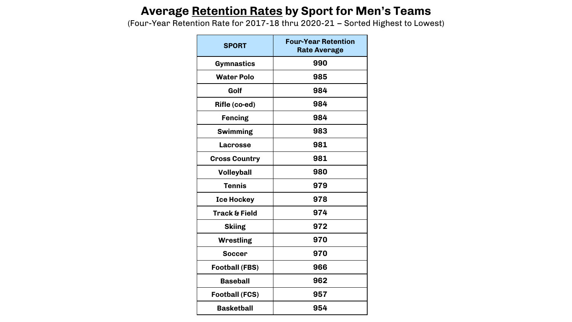### **Average Retention Rates by Sport for Men's Teams**

(Four-Year Retention Rate for 2017-18 thru 2020-21 – Sorted Highest to Lowest)

| <b>SPORT</b>             | <b>Four-Year Retention</b><br><b>Rate Average</b> |
|--------------------------|---------------------------------------------------|
| <b>Gymnastics</b>        | 990                                               |
| <b>Water Polo</b>        | 985                                               |
| Golf                     | 984                                               |
| Rifle (co-ed)            | 984                                               |
| <b>Fencing</b>           | 984                                               |
| <b>Swimming</b>          | 983                                               |
| <b>Lacrosse</b>          | 981                                               |
| <b>Cross Country</b>     | 981                                               |
| <b>Volleyball</b>        | 980                                               |
| <b>Tennis</b>            | 979                                               |
| <b>Ice Hockey</b>        | 978                                               |
| <b>Track &amp; Field</b> | 974                                               |
| <b>Skiing</b>            | 972                                               |
| Wrestling                | 970                                               |
| <b>Soccer</b>            | 970                                               |
| <b>Football (FBS)</b>    | 966                                               |
| <b>Baseball</b>          | 962                                               |
| <b>Football (FCS)</b>    | 957                                               |
| <b>Basketball</b>        | 954                                               |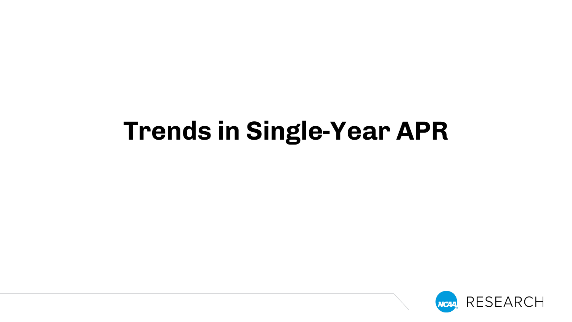# **Trends in Single-Year APR**

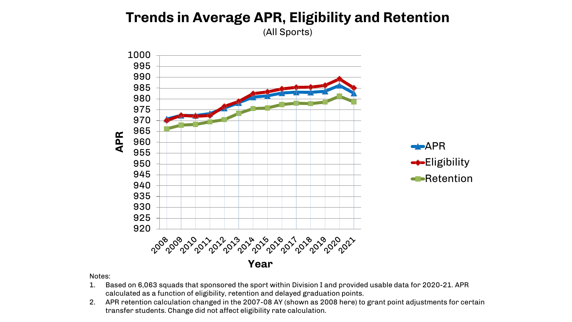# **Trends in Average APR, Eligibility and Retention**

(All Sports)



- 1. Based on 6,063 squads that sponsored the sport within Division I and provided usable data for 2020-21. APR calculated as a function of eligibility, retention and delayed graduation points.
- 2. APR retention calculation changed in the 2007-08 AY (shown as 2008 here) to grant point adjustments for certain transfer students. Change did not affect eligibility rate calculation.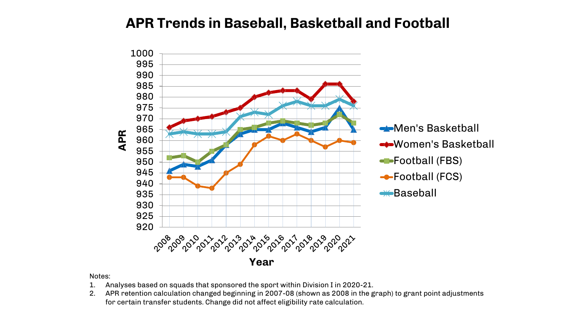### **APR Trends in Baseball, Basketball and Football**



- 1. Analyses based on squads that sponsored the sport within Division I in 2020-21.
- 2. APR retention calculation changed beginning in 2007-08 (shown as 2008 in the graph) to grant point adjustments for certain transfer students. Change did not affect eligibility rate calculation.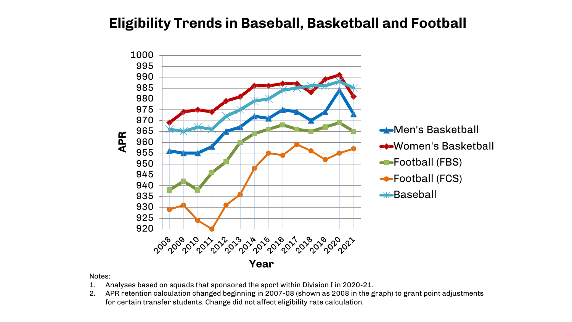### **Eligibility Trends in Baseball, Basketball and Football**



- 1. Analyses based on squads that sponsored the sport within Division I in 2020-21.
- 2. APR retention calculation changed beginning in 2007-08 (shown as 2008 in the graph) to grant point adjustments for certain transfer students. Change did not affect eligibility rate calculation.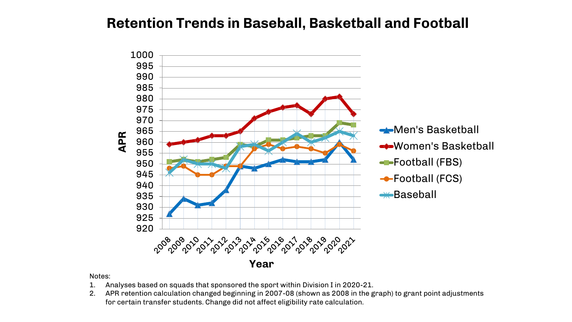### **Retention Trends in Baseball, Basketball and Football**



- 1. Analyses based on squads that sponsored the sport within Division I in 2020-21.
- 2. APR retention calculation changed beginning in 2007-08 (shown as 2008 in the graph) to grant point adjustments for certain transfer students. Change did not affect eligibility rate calculation.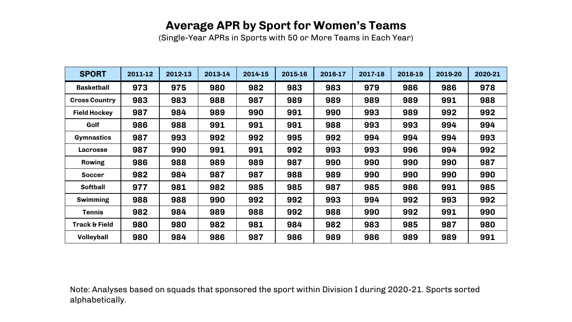### **Average APR by Sport for Women's Teams**

(Single-Year APRs in Sports with 50 or More Teams in Each Year)

| <b>SPORT</b>             | 2011-12 | 2012-13 | 2013-14 | 2014-15 | 2015-16 | 2016-17 | 2017-18 | 2018-19 | 2019-20 | 2020-21 |
|--------------------------|---------|---------|---------|---------|---------|---------|---------|---------|---------|---------|
| <b>Basketball</b>        | 973     | 975     | 980     | 982     | 983     | 983     | 979     | 986     | 986     | 978     |
| <b>Cross Country</b>     | 983     | 983     | 988     | 987     | 989     | 989     | 989     | 989     | 991     | 988     |
| <b>Field Hockey</b>      | 987     | 984     | 989     | 990     | 991     | 990     | 993     | 989     | 992     | 992     |
| Golf                     | 986     | 988     | 991     | 991     | 991     | 988     | 993     | 993     | 994     | 994     |
| <b>Gymnastics</b>        | 987     | 993     | 992     | 992     | 995     | 992     | 994     | 994     | 994     | 993     |
| <b>Lacrosse</b>          | 987     | 990     | 991     | 991     | 992     | 993     | 993     | 996     | 994     | 992     |
| <b>Rowing</b>            | 986     | 988     | 989     | 989     | 987     | 990     | 990     | 990     | 990     | 987     |
| <b>Soccer</b>            | 982     | 984     | 987     | 987     | 988     | 989     | 990     | 990     | 990     | 990     |
| <b>Softball</b>          | 977     | 981     | 982     | 985     | 985     | 987     | 985     | 986     | 991     | 985     |
| <b>Swimming</b>          | 988     | 988     | 990     | 992     | 992     | 993     | 994     | 992     | 993     | 992     |
| <b>Tennis</b>            | 982     | 984     | 989     | 988     | 992     | 988     | 990     | 992     | 991     | 990     |
| <b>Track &amp; Field</b> | 980     | 980     | 982     | 981     | 984     | 982     | 983     | 985     | 987     | 980     |
| Volleyball               | 980     | 984     | 986     | 987     | 986     | 989     | 986     | 989     | 989     | 991     |

Note: Analyses based on squads that sponsored the sport within Division I during 2020-21. Sports sorted alphabetically.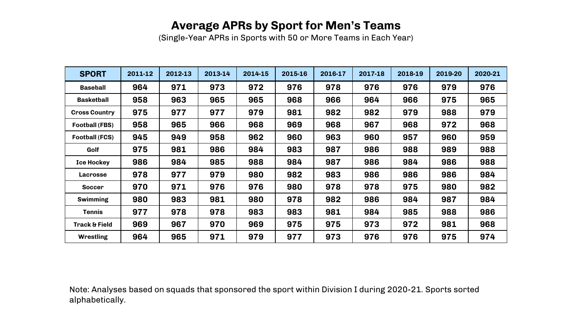### **Average APRs by Sport for Men's Teams**

(Single-Year APRs in Sports with 50 or More Teams in Each Year)

| <b>SPORT</b>             | 2011-12 | 2012-13 | 2013-14 | 2014-15 | 2015-16 | 2016-17 | 2017-18 | 2018-19 | 2019-20 | 2020-21 |
|--------------------------|---------|---------|---------|---------|---------|---------|---------|---------|---------|---------|
| <b>Baseball</b>          | 964     | 971     | 973     | 972     | 976     | 978     | 976     | 976     | 979     | 976     |
| <b>Basketball</b>        | 958     | 963     | 965     | 965     | 968     | 966     | 964     | 966     | 975     | 965     |
| <b>Cross Country</b>     | 975     | 977     | 977     | 979     | 981     | 982     | 982     | 979     | 988     | 979     |
| <b>Football (FBS)</b>    | 958     | 965     | 966     | 968     | 969     | 968     | 967     | 968     | 972     | 968     |
| <b>Football (FCS)</b>    | 945     | 949     | 958     | 962     | 960     | 963     | 960     | 957     | 960     | 959     |
| Golf                     | 975     | 981     | 986     | 984     | 983     | 987     | 986     | 988     | 989     | 988     |
| <b>Ice Hockey</b>        | 986     | 984     | 985     | 988     | 984     | 987     | 986     | 984     | 986     | 988     |
| <b>Lacrosse</b>          | 978     | 977     | 979     | 980     | 982     | 983     | 986     | 986     | 986     | 984     |
| <b>Soccer</b>            | 970     | 971     | 976     | 976     | 980     | 978     | 978     | 975     | 980     | 982     |
| <b>Swimming</b>          | 980     | 983     | 981     | 980     | 978     | 982     | 986     | 984     | 987     | 984     |
| <b>Tennis</b>            | 977     | 978     | 978     | 983     | 983     | 981     | 984     | 985     | 988     | 986     |
| <b>Track &amp; Field</b> | 969     | 967     | 970     | 969     | 975     | 975     | 973     | 972     | 981     | 968     |
| <b>Wrestling</b>         | 964     | 965     | 971     | 979     | 977     | 973     | 976     | 976     | 975     | 974     |

Note: Analyses based on squads that sponsored the sport within Division I during 2020-21. Sports sorted alphabetically.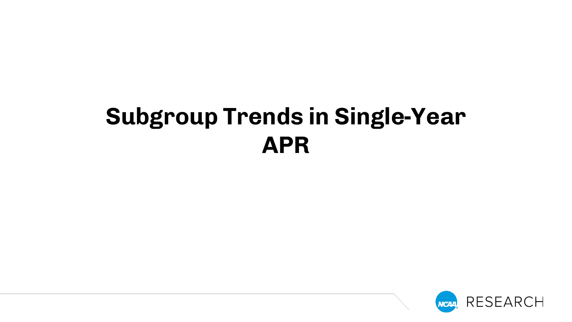# **Subgroup Trends in Single-Year APR**

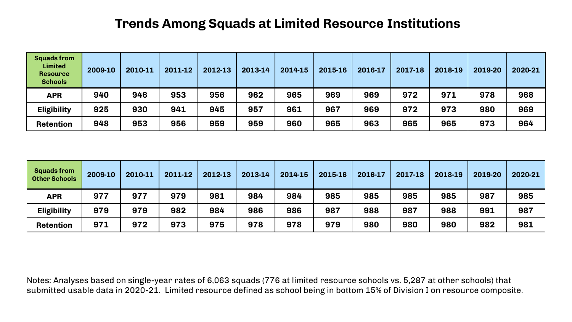### **Trends Among Squads at Limited Resource Institutions**

| <b>Squads from</b><br><b>Limited</b><br><b>Resource</b><br><b>Schools</b> | 2009-10 | 2010-11 | 2011-12 | 2012-13 | 2013-14 | 2014-15 | 2015-16 | 2016-17 | 2017-18 | 2018-19 | 2019-20 | 2020-21 |
|---------------------------------------------------------------------------|---------|---------|---------|---------|---------|---------|---------|---------|---------|---------|---------|---------|
| <b>APR</b>                                                                | 940     | 946     | 953     | 956     | 962     | 965     | 969     | 969     | 972     | 971     | 978     | 968     |
| <b>Eligibility</b>                                                        | 925     | 930     | 941     | 945     | 957     | 961     | 967     | 969     | 972     | 973     | 980     | 969     |
| <b>Retention</b>                                                          | 948     | 953     | 956     | 959     | 959     | 960     | 965     | 963     | 965     | 965     | 973     | 964     |

| <b>Squads from</b><br><b>Other Schools</b> | 2009-10 | 2010-11 | 2011-12 | 2012-13 | 2013-14 | 2014-15 | 2015-16 | 2016-17 | 2017-18 | 2018-19 | 2019-20 | 2020-21 |
|--------------------------------------------|---------|---------|---------|---------|---------|---------|---------|---------|---------|---------|---------|---------|
| <b>APR</b>                                 | 977     | 977     | 979     | 981     | 984     | 984     | 985     | 985     | 985     | 985     | 987     | 985     |
| <b>Eligibility</b>                         | 979     | 979     | 982     | 984     | 986     | 986     | 987     | 988     | 987     | 988     | 991     | 987     |
| <b>Retention</b>                           | 971     | 972     | 973     | 975     | 978     | 978     | 979     | 980     | 980     | 980     | 982     | 981     |

Notes: Analyses based on single-year rates of 6,063 squads (776 at limited resource schools vs. 5,287 at other schools) that submitted usable data in 2020-21. Limited resource defined as school being in bottom 15% of Division I on resource composite.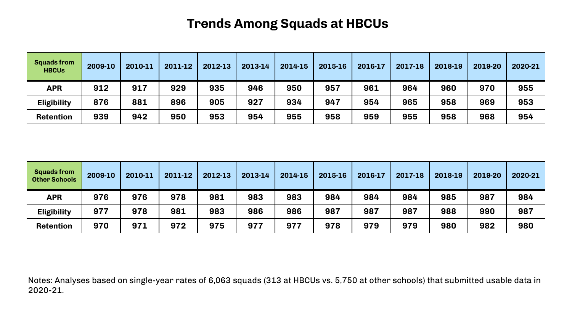### **Trends Among Squads at HBCUs**

| <b>Squads from</b><br><b>HBCUs</b> | 2009-10 | 2010-11 | 2011-12 | 2012-13 | 2013-14 | 2014-15 | 2015-16 | 2016-17 | 2017-18 | 2018-19 | 2019-20 | 2020-21 |
|------------------------------------|---------|---------|---------|---------|---------|---------|---------|---------|---------|---------|---------|---------|
| <b>APR</b>                         | 912     | 917     | 929     | 935     | 946     | 950     | 957     | 961     | 964     | 960     | 970     | 955     |
| <b>Eligibility</b>                 | 876     | 881     | 896     | 905     | 927     | 934     | 947     | 954     | 965     | 958     | 969     | 953     |
| <b>Retention</b>                   | 939     | 942     | 950     | 953     | 954     | 955     | 958     | 959     | 955     | 958     | 968     | 954     |

| <b>Squads from</b><br><b>Other Schools</b> | 2009-10 | 2010-11 | 2011-12 | 2012-13 | 2013-14 | 2014-15 | 2015-16 | 2016-17 | 2017-18 | 2018-19 | 2019-20 | 2020-21 |
|--------------------------------------------|---------|---------|---------|---------|---------|---------|---------|---------|---------|---------|---------|---------|
| <b>APR</b>                                 | 976     | 976     | 978     | 981     | 983     | 983     | 984     | 984     | 984     | 985     | 987     | 984     |
| <b>Eligibility</b>                         | 977     | 978     | 981     | 983     | 986     | 986     | 987     | 987     | 987     | 988     | 990     | 987     |
| <b>Retention</b>                           | 970     | 971     | 972     | 975     | 977     | 977     | 978     | 979     | 979     | 980     | 982     | 980     |

Notes: Analyses based on single-year rates of 6,063 squads (313 at HBCUs vs. 5,750 at other schools) that submitted usable data in 2020-21.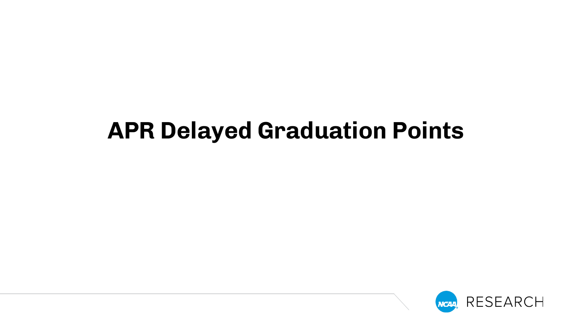# **APR Delayed Graduation Points**

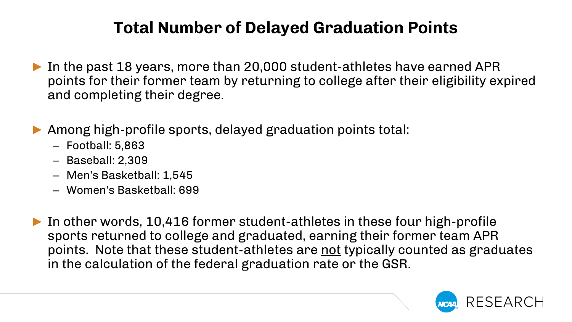## **Total Number of Delayed Graduation Points**

- ► In the past 18 years, more than 20,000 student-athletes have earned APR points for their former team by returning to college after their eligibility expired and completing their degree.
- ► Among high-profile sports, delayed graduation points total:
	- Football: 5,863
	- Baseball: 2,309
	- Men's Basketball: 1,545
	- Women's Basketball: 699
- ► In other words, 10,416 former student-athletes in these four high-profile sports returned to college and graduated, earning their former team APR points. Note that these student-athletes are not typically counted as graduates in the calculation of the federal graduation rate or the GSR.

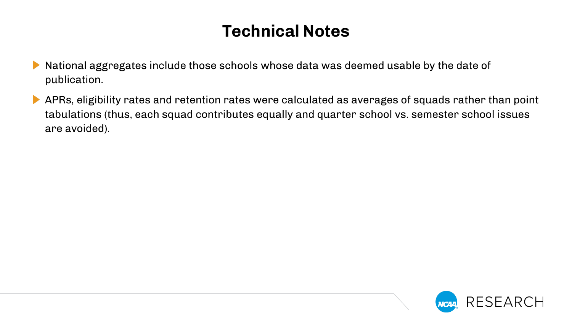## **Technical Notes**

- National aggregates include those schools whose data was deemed usable by the date of publication.
- APRs, eligibility rates and retention rates were calculated as averages of squads rather than point  $\blacktriangleright$ tabulations (thus, each squad contributes equally and quarter school vs. semester school issues are avoided).